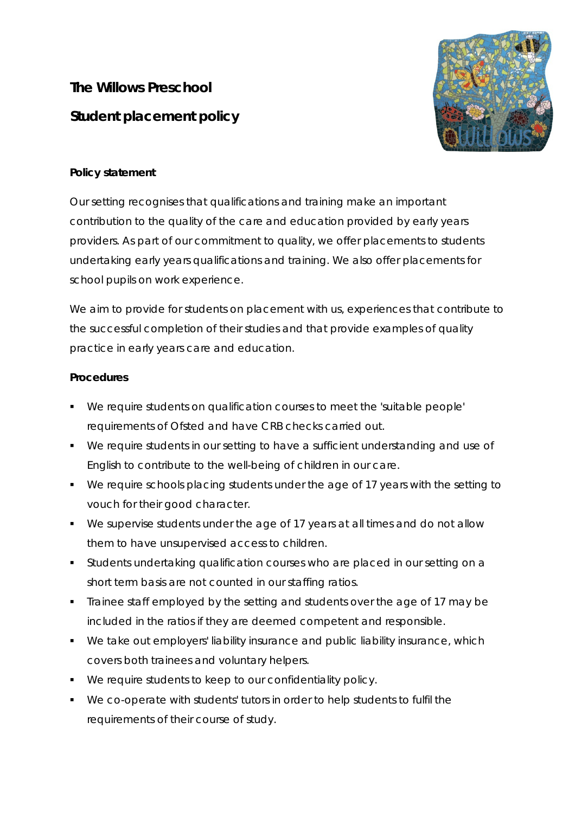## **The Willows Preschool Student placement policy**



## **Policy statement**

Our setting recognises that qualifications and training make an important contribution to the quality of the care and education provided by early years providers. As part of our commitment to quality, we offer placements to students undertaking early years qualifications and training. We also offer placements for school pupils on work experience.

We aim to provide for students on placement with us, experiences that contribute to the successful completion of their studies and that provide examples of quality practice in early years care and education.

## **Procedures**

- We require students on qualification courses to meet the 'suitable people' requirements of Ofsted and have CRB checks carried out.
- We require students in our setting to have a sufficient understanding and use of English to contribute to the well-being of children in our care.
- We require schools placing students under the age of 17 years with the setting to vouch for their good character.
- We supervise students under the age of 17 years at all times and do not allow them to have unsupervised access to children.
- Students undertaking qualification courses who are placed in our setting on a short term basis are not counted in our staffing ratios.
- Trainee staff employed by the setting and students over the age of 17 may be included in the ratios if they are deemed competent and responsible.
- We take out employers' liability insurance and public liability insurance, which covers both trainees and voluntary helpers.
- We require students to keep to our confidentiality policy.
- We co-operate with students' tutors in order to help students to fulfil the requirements of their course of study.